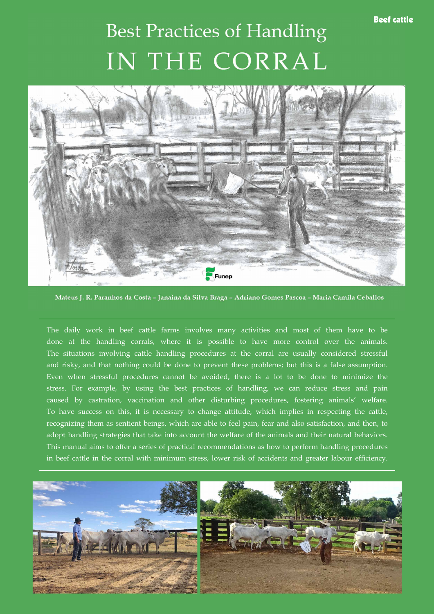## Beef cattle

## **Best Practices of Handling** IN THE CORRAL



Mateus J. R. Paranhos da Costa - Janaina da Silva Braga - Adriano Gomes Pascoa - Maria Camila Ceballos

The daily work in beef cattle farms involves many activities and most of them have to be done at the handling corrals, where it is possible to have more control over the animals. The situations involving cattle handling procedures at the corral are usually considered stressful and risky, and that nothing could be done to prevent these problems; but this is a false assumption. Even when stressful procedures cannot be avoided, there is a lot to be done to minimize the stress. For example, by using the best practices of handling, we can reduce stress and pain caused by castration, vaccination and other disturbing procedures, fostering animals' welfare. To have success on this, it is necessary to change attitude, which implies in respecting the cattle, recognizing them as sentient beings, which are able to feel pain, fear and also satisfaction, and then, to adopt handling strategies that take into account the welfare of the animals and their natural behaviors. This manual aims to offer a series of practical recommendations as how to perform handling procedures in beef cattle in the corral with minimum stress, lower risk of accidents and greater labour efficiency.